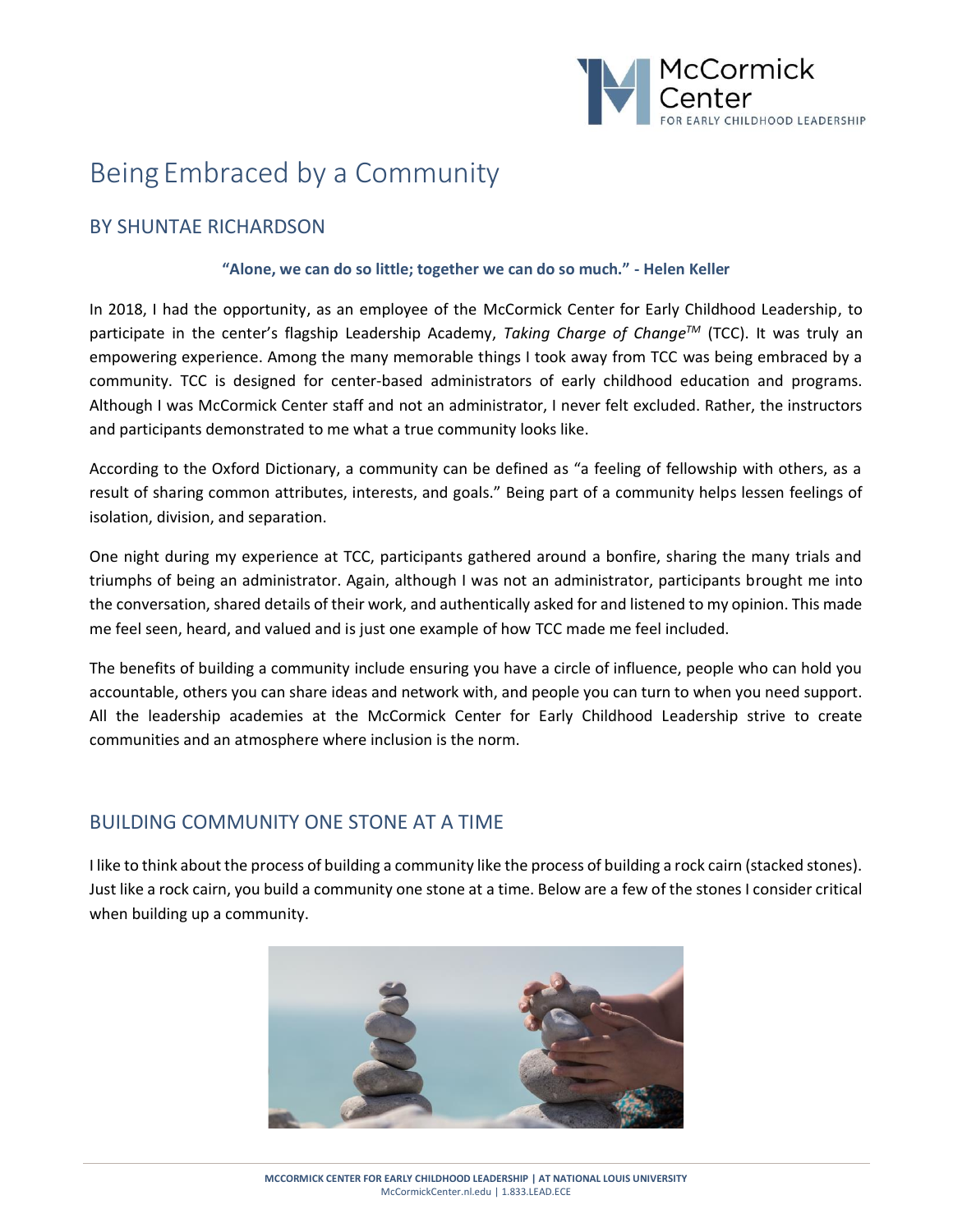

# Being Embraced by a Community

## BY SHUNTAE RICHARDSON

#### **"Alone, we can do so little; together we can do so much." - Helen Keller**

In 2018, I had the opportunity, as an employee of the McCormick Center for Early Childhood Leadership, to participate in the center's flagship Leadership Academy, *Taking Charge of ChangeTM* (TCC). It was truly an empowering experience. Among the many memorable things I took away from TCC was being embraced by a community. TCC is designed for center-based administrators of early childhood education and programs. Although I was McCormick Center staff and not an administrator, I never felt excluded. Rather, the instructors and participants demonstrated to me what a true community looks like.

According to the Oxford Dictionary, a community can be defined as "a feeling of fellowship with others, as a result of sharing common attributes, interests, and goals." Being part of a community helps lessen feelings of isolation, division, and separation.

One night during my experience at TCC, participants gathered around a bonfire, sharing the many trials and triumphs of being an administrator. Again, although I was not an administrator, participants brought me into the conversation, shared details of their work, and authentically asked for and listened to my opinion. This made me feel seen, heard, and valued and is just one example of how TCC made me feel included.

The benefits of building a community include ensuring you have a circle of influence, people who can hold you accountable, others you can share ideas and network with, and people you can turn to when you need support. All the leadership academies at the McCormick Center for Early Childhood Leadership strive to create communities and an atmosphere where inclusion is the norm.

## BUILDING COMMUNITY ONE STONE AT A TIME

I like to think about the process of building a community like the process of building a rock cairn (stacked stones). Just like a rock cairn, you build a community one stone at a time. Below are a few of the stones I consider critical when building up a community.